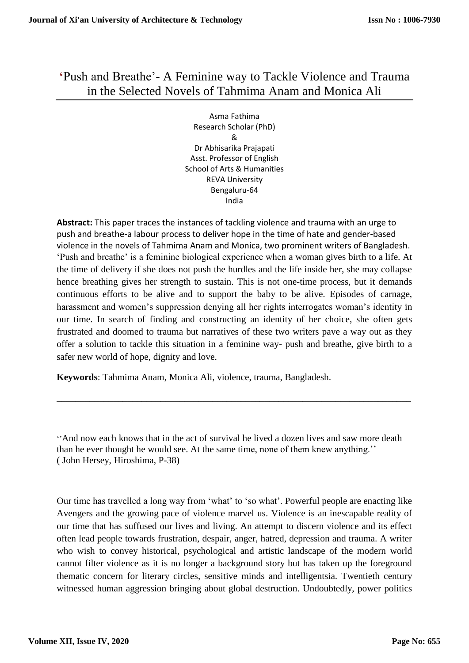## **'**Push and Breathe'- A Feminine way to Tackle Violence and Trauma in the Selected Novels of Tahmima Anam and Monica Ali

Asma Fathima Research Scholar (PhD) & Dr Abhisarika Prajapati Asst. Professor of English School of Arts & Humanities REVA University Bengaluru-64 India

**Abstract:** This paper traces the instances of tackling violence and trauma with an urge to push and breathe-a labour process to deliver hope in the time of hate and gender-based violence in the novels of Tahmima Anam and Monica, two prominent writers of Bangladesh. 'Push and breathe' is a feminine biological experience when a woman gives birth to a life. At the time of delivery if she does not push the hurdles and the life inside her, she may collapse hence breathing gives her strength to sustain. This is not one-time process, but it demands continuous efforts to be alive and to support the baby to be alive. Episodes of carnage, harassment and women's suppression denying all her rights interrogates woman's identity in our time. In search of finding and constructing an identity of her choice, she often gets frustrated and doomed to trauma but narratives of these two writers pave a way out as they offer a solution to tackle this situation in a feminine way- push and breathe, give birth to a safer new world of hope, dignity and love.

**Keywords**: Tahmima Anam, Monica Ali, violence, trauma, Bangladesh.

''And now each knows that in the act of survival he lived a dozen lives and saw more death than he ever thought he would see. At the same time, none of them knew anything.'' ( John Hersey, Hiroshima, P-38)

\_\_\_\_\_\_\_\_\_\_\_\_\_\_\_\_\_\_\_\_\_\_\_\_\_\_\_\_\_\_\_\_\_\_\_\_\_\_\_\_\_\_\_\_\_\_\_\_\_\_\_\_\_\_\_\_\_\_\_\_\_\_\_\_\_\_\_\_\_\_\_\_\_\_\_

Our time has travelled a long way from 'what' to 'so what'. Powerful people are enacting like Avengers and the growing pace of violence marvel us. Violence is an inescapable reality of our time that has suffused our lives and living. An attempt to discern violence and its effect often lead people towards frustration, despair, anger, hatred, depression and trauma. A writer who wish to convey historical, psychological and artistic landscape of the modern world cannot filter violence as it is no longer a background story but has taken up the foreground thematic concern for literary circles, sensitive minds and intelligentsia. Twentieth century witnessed human aggression bringing about global destruction. Undoubtedly, power politics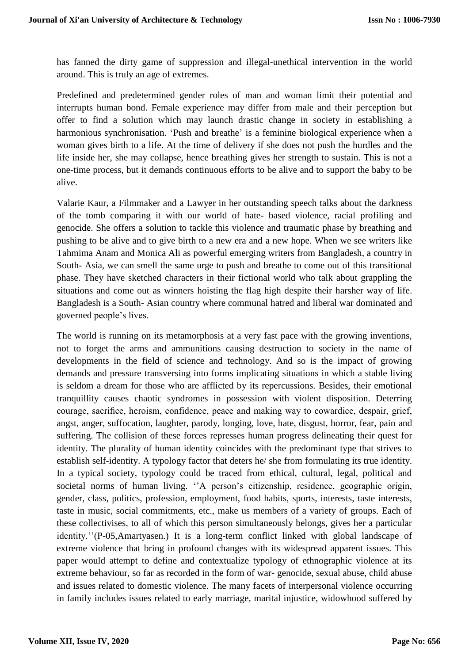has fanned the dirty game of suppression and illegal-unethical intervention in the world around. This is truly an age of extremes.

Predefined and predetermined gender roles of man and woman limit their potential and interrupts human bond. Female experience may differ from male and their perception but offer to find a solution which may launch drastic change in society in establishing a harmonious synchronisation. 'Push and breathe' is a feminine biological experience when a woman gives birth to a life. At the time of delivery if she does not push the hurdles and the life inside her, she may collapse, hence breathing gives her strength to sustain. This is not a one-time process, but it demands continuous efforts to be alive and to support the baby to be alive.

Valarie Kaur, a Filmmaker and a Lawyer in her outstanding speech talks about the darkness of the tomb comparing it with our world of hate- based violence, racial profiling and genocide. She offers a solution to tackle this violence and traumatic phase by breathing and pushing to be alive and to give birth to a new era and a new hope. When we see writers like Tahmima Anam and Monica Ali as powerful emerging writers from Bangladesh, a country in South- Asia, we can smell the same urge to push and breathe to come out of this transitional phase. They have sketched characters in their fictional world who talk about grappling the situations and come out as winners hoisting the flag high despite their harsher way of life. Bangladesh is a South- Asian country where communal hatred and liberal war dominated and governed people's lives.

The world is running on its metamorphosis at a very fast pace with the growing inventions, not to forget the arms and ammunitions causing destruction to society in the name of developments in the field of science and technology. And so is the impact of growing demands and pressure transversing into forms implicating situations in which a stable living is seldom a dream for those who are afflicted by its repercussions. Besides, their emotional tranquillity causes chaotic syndromes in possession with violent disposition. Deterring courage, sacrifice, heroism, confidence, peace and making way to cowardice, despair, grief, angst, anger, suffocation, laughter, parody, longing, love, hate, disgust, horror, fear, pain and suffering. The collision of these forces represses human progress delineating their quest for identity. The plurality of human identity coincides with the predominant type that strives to establish self-identity. A typology factor that deters he/ she from formulating its true identity. In a typical society, typology could be traced from ethical, cultural, legal, political and societal norms of human living. "A person's citizenship, residence, geographic origin, gender, class, politics, profession, employment, food habits, sports, interests, taste interests, taste in music, social commitments, etc., make us members of a variety of groups. Each of these collectivises, to all of which this person simultaneously belongs, gives her a particular identity.''(P-05,Amartyasen.) It is a long-term conflict linked with global landscape of extreme violence that bring in profound changes with its widespread apparent issues. This paper would attempt to define and contextualize typology of ethnographic violence at its extreme behaviour, so far as recorded in the form of war- genocide, sexual abuse, child abuse and issues related to domestic violence. The many facets of interpersonal violence occurring in family includes issues related to early marriage, marital injustice, widowhood suffered by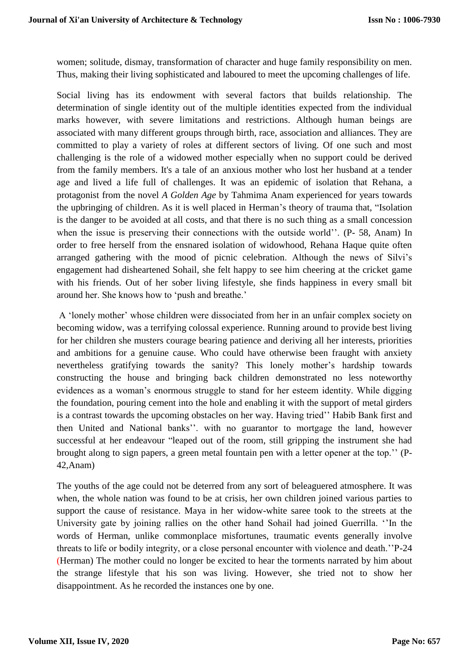women; solitude, dismay, transformation of character and huge family responsibility on men. Thus, making their living sophisticated and laboured to meet the upcoming challenges of life.

Social living has its endowment with several factors that builds relationship. The determination of single identity out of the multiple identities expected from the individual marks however, with severe limitations and restrictions. Although human beings are associated with many different groups through birth, race, association and alliances. They are committed to play a variety of roles at different sectors of living. Of one such and most challenging is the role of a widowed mother especially when no support could be derived from the family members. It's a tale of an anxious mother who lost her husband at a tender age and lived a life full of challenges. It was an epidemic of isolation that Rehana, a protagonist from the novel *A Golden Age* by Tahmima Anam experienced for years towards the upbringing of children. As it is well placed in Herman's theory of trauma that, "Isolation is the danger to be avoided at all costs, and that there is no such thing as a small concession when the issue is preserving their connections with the outside world''. (P- 58, Anam) In order to free herself from the ensnared isolation of widowhood, Rehana Haque quite often arranged gathering with the mood of picnic celebration. Although the news of Silvi's engagement had disheartened Sohail, she felt happy to see him cheering at the cricket game with his friends. Out of her sober living lifestyle, she finds happiness in every small bit around her. She knows how to 'push and breathe.'

A 'lonely mother' whose children were dissociated from her in an unfair complex society on becoming widow, was a terrifying colossal experience. Running around to provide best living for her children she musters courage bearing patience and deriving all her interests, priorities and ambitions for a genuine cause. Who could have otherwise been fraught with anxiety nevertheless gratifying towards the sanity? This lonely mother's hardship towards constructing the house and bringing back children demonstrated no less noteworthy evidences as a woman's enormous struggle to stand for her esteem identity. While digging the foundation, pouring cement into the hole and enabling it with the support of metal girders is a contrast towards the upcoming obstacles on her way. Having tried'' Habib Bank first and then United and National banks''. with no guarantor to mortgage the land, however successful at her endeavour "leaped out of the room, still gripping the instrument she had brought along to sign papers, a green metal fountain pen with a letter opener at the top.'' (P-42,Anam)

The youths of the age could not be deterred from any sort of beleaguered atmosphere. It was when, the whole nation was found to be at crisis, her own children joined various parties to support the cause of resistance. Maya in her widow-white saree took to the streets at the University gate by joining rallies on the other hand Sohail had joined Guerrilla. ''In the words of Herman, unlike commonplace misfortunes, traumatic events generally involve threats to life or bodily integrity, or a close personal encounter with violence and death.''P-24 (Herman) The mother could no longer be excited to hear the torments narrated by him about the strange lifestyle that his son was living. However, she tried not to show her disappointment. As he recorded the instances one by one.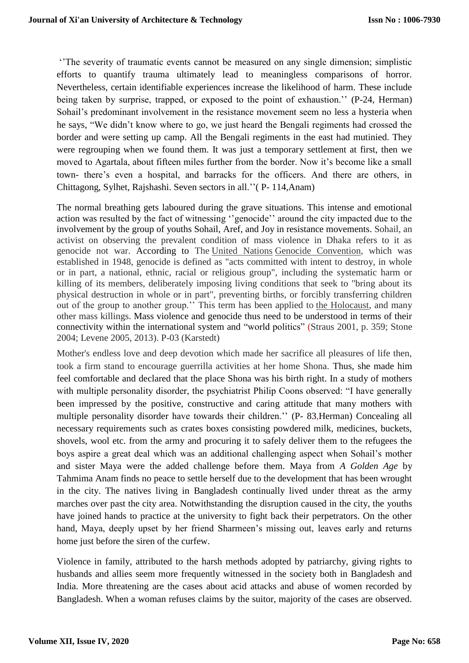''The severity of traumatic events cannot be measured on any single dimension; simplistic efforts to quantify trauma ultimately lead to meaningless comparisons of horror. Nevertheless, certain identifiable experiences increase the likelihood of harm. These include being taken by surprise, trapped, or exposed to the point of exhaustion.'' (P-24, Herman) Sohail's predominant involvement in the resistance movement seem no less a hysteria when he says, "We didn't know where to go, we just heard the Bengali regiments had crossed the border and were setting up camp. All the Bengali regiments in the east had mutinied. They were regrouping when we found them. It was just a temporary settlement at first, then we moved to Agartala, about fifteen miles further from the border. Now it's become like a small town- there's even a hospital, and barracks for the officers. And there are others, in Chittagong, Sylhet, Rajshashi. Seven sectors in all.''( P- 114,Anam)

The normal breathing gets laboured during the grave situations. This intense and emotional action was resulted by the fact of witnessing ''genocide'' around the city impacted due to the involvement by the group of youths Sohail, Aref, and Joy in resistance movements. Sohail, an activist on observing the prevalent condition of mass violence in Dhaka refers to it as genocide not war. According to The [United Nations](https://en.wikipedia.org/wiki/United_Nations) [Genocide Convention,](https://en.wikipedia.org/wiki/Genocide_Convention) which was established in 1948, genocide is defined as "acts committed with intent to destroy, in whole or in part, a national, ethnic, racial or religious group", including the systematic harm or killing of its members, deliberately imposing living conditions that seek to "bring about its physical destruction in whole or in part", preventing births, or forcibly transferring children out of the group to another group.'' This term has been applied to [the Holocaust,](https://en.wikipedia.org/wiki/The_Holocaust) and many other mass killings. Mass violence and genocide thus need to be understood in terms of their connectivity within the international system and "world politics" (Straus 2001, p. 359; Stone 2004; Levene 2005, 2013). P-03 (Karstedt)

Mother's endless love and deep devotion which made her sacrifice all pleasures of life then, took a firm stand to encourage guerrilla activities at her home Shona. Thus, she made him feel comfortable and declared that the place Shona was his birth right. In a study of mothers with multiple personality disorder, the psychiatrist Philip Coons observed: "I have generally been impressed by the positive, constructive and caring attitude that many mothers with multiple personality disorder have towards their children.'' (P- 83,Herman) Concealing all necessary requirements such as crates boxes consisting powdered milk, medicines, buckets, shovels, wool etc. from the army and procuring it to safely deliver them to the refugees the boys aspire a great deal which was an additional challenging aspect when Sohail's mother and sister Maya were the added challenge before them. Maya from *A Golden Age* by Tahmima Anam finds no peace to settle herself due to the development that has been wrought in the city. The natives living in Bangladesh continually lived under threat as the army marches over past the city area. Notwithstanding the disruption caused in the city, the youths have joined hands to practice at the university to fight back their perpetrators. On the other hand, Maya, deeply upset by her friend Sharmeen's missing out, leaves early and returns home just before the siren of the curfew.

Violence in family, attributed to the harsh methods adopted by patriarchy, giving rights to husbands and allies seem more frequently witnessed in the society both in Bangladesh and India. More threatening are the cases about acid attacks and abuse of women recorded by Bangladesh. When a woman refuses claims by the suitor, majority of the cases are observed.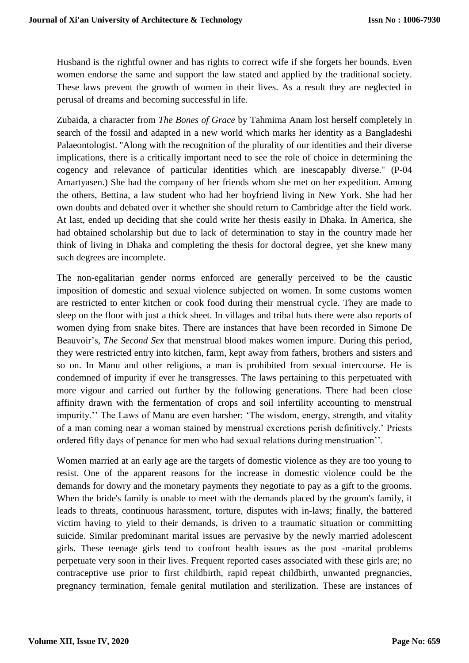Husband is the rightful owner and has rights to correct wife if she forgets her bounds. Even women endorse the same and support the law stated and applied by the traditional society. These laws prevent the growth of women in their lives. As a result they are neglected in perusal of dreams and becoming successful in life.

Zubaida, a character from *The Bones of Grace* by Tahmima Anam lost herself completely in search of the fossil and adapted in a new world which marks her identity as a Bangladeshi Palaeontologist. ''Along with the recognition of the plurality of our identities and their diverse implications, there is a critically important need to see the role of choice in determining the cogency and relevance of particular identities which are inescapably diverse.'' (P-04 Amartyasen.) She had the company of her friends whom she met on her expedition. Among the others, Bettina, a law student who had her boyfriend living in New York. She had her own doubts and debated over it whether she should return to Cambridge after the field work. At last, ended up deciding that she could write her thesis easily in Dhaka. In America, she had obtained scholarship but due to lack of determination to stay in the country made her think of living in Dhaka and completing the thesis for doctoral degree, yet she knew many such degrees are incomplete.

The non-egalitarian gender norms enforced are generally perceived to be the caustic imposition of domestic and sexual violence subjected on women. In some customs women are restricted to enter kitchen or cook food during their menstrual cycle. They are made to sleep on the floor with just a thick sheet. In villages and tribal huts there were also reports of women dying from snake bites. There are instances that have been recorded in Simone De Beauvoir's, *The Second Sex* that menstrual blood makes women impure. During this period, they were restricted entry into kitchen, farm, kept away from fathers, brothers and sisters and so on. In Manu and other religions, a man is prohibited from sexual intercourse. He is condemned of impurity if ever he transgresses. The laws pertaining to this perpetuated with more vigour and carried out further by the following generations. There had been close affinity drawn with the fermentation of crops and soil infertility accounting to menstrual impurity.'' The Laws of Manu are even harsher: 'The wisdom, energy, strength, and vitality of a man coming near a woman stained by menstrual excretions perish definitively.' Priests ordered fifty days of penance for men who had sexual relations during menstruation''.

Women married at an early age are the targets of domestic violence as they are too young to resist. One of the apparent reasons for the increase in domestic violence could be the demands for dowry and the monetary payments they negotiate to pay as a gift to the grooms. When the bride's family is unable to meet with the demands placed by the groom's family, it leads to threats, continuous harassment, torture, disputes with in-laws; finally, the battered victim having to yield to their demands, is driven to a traumatic situation or committing suicide. Similar predominant marital issues are pervasive by the newly married adolescent girls. These teenage girls tend to confront health issues as the post -marital problems perpetuate very soon in their lives. Frequent reported cases associated with these girls are; no contraceptive use prior to first childbirth, rapid repeat childbirth, unwanted pregnancies, pregnancy termination, female genital mutilation and sterilization. These are instances of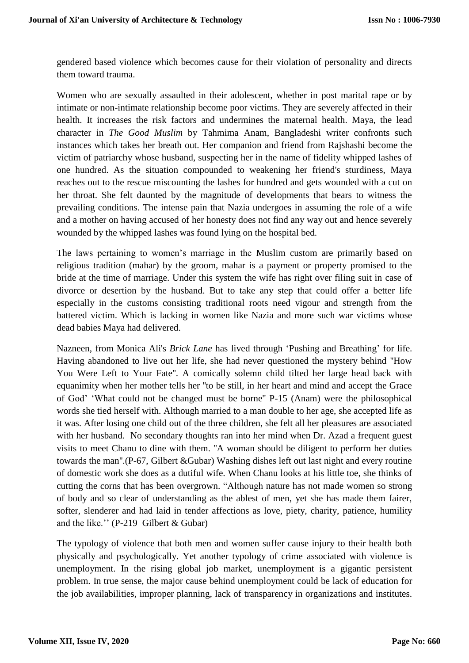gendered based violence which becomes cause for their violation of personality and directs them toward trauma.

Women who are sexually assaulted in their adolescent, whether in post marital rape or by intimate or non-intimate relationship become poor victims. They are severely affected in their health. It increases the risk factors and undermines the maternal health. Maya, the lead character in *The Good Muslim* by Tahmima Anam, Bangladeshi writer confronts such instances which takes her breath out. Her companion and friend from Rajshashi become the victim of patriarchy whose husband, suspecting her in the name of fidelity whipped lashes of one hundred. As the situation compounded to weakening her friend's sturdiness, Maya reaches out to the rescue miscounting the lashes for hundred and gets wounded with a cut on her throat. She felt daunted by the magnitude of developments that bears to witness the prevailing conditions. The intense pain that Nazia undergoes in assuming the role of a wife and a mother on having accused of her honesty does not find any way out and hence severely wounded by the whipped lashes was found lying on the hospital bed.

The laws pertaining to women's marriage in the Muslim custom are primarily based on religious tradition (mahar) by the groom, mahar is a payment or property promised to the bride at the time of marriage. Under this system the wife has right over filing suit in case of divorce or desertion by the husband. But to take any step that could offer a better life especially in the customs consisting traditional roots need vigour and strength from the battered victim. Which is lacking in women like Nazia and more such war victims whose dead babies Maya had delivered.

Nazneen, from Monica Ali's *Brick Lane* has lived through 'Pushing and Breathing' for life. Having abandoned to live out her life, she had never questioned the mystery behind ''How You Were Left to Your Fate''. A comically solemn child tilted her large head back with equanimity when her mother tells her ''to be still, in her heart and mind and accept the Grace of God' 'What could not be changed must be borne'' P-15 (Anam) were the philosophical words she tied herself with. Although married to a man double to her age, she accepted life as it was. After losing one child out of the three children, she felt all her pleasures are associated with her husband. No secondary thoughts ran into her mind when Dr. Azad a frequent guest visits to meet Chanu to dine with them. ''A woman should be diligent to perform her duties towards the man''.(P-67, Gilbert &Gubar) Washing dishes left out last night and every routine of domestic work she does as a dutiful wife. When Chanu looks at his little toe, she thinks of cutting the corns that has been overgrown. "Although nature has not made women so strong of body and so clear of understanding as the ablest of men, yet she has made them fairer, softer, slenderer and had laid in tender affections as love, piety, charity, patience, humility and the like.'' (P-219 Gilbert & Gubar)

The typology of violence that both men and women suffer cause injury to their health both physically and psychologically. Yet another typology of crime associated with violence is unemployment. In the rising global job market, unemployment is a gigantic persistent problem. In true sense, the major cause behind unemployment could be lack of education for the job availabilities, improper planning, lack of transparency in organizations and institutes.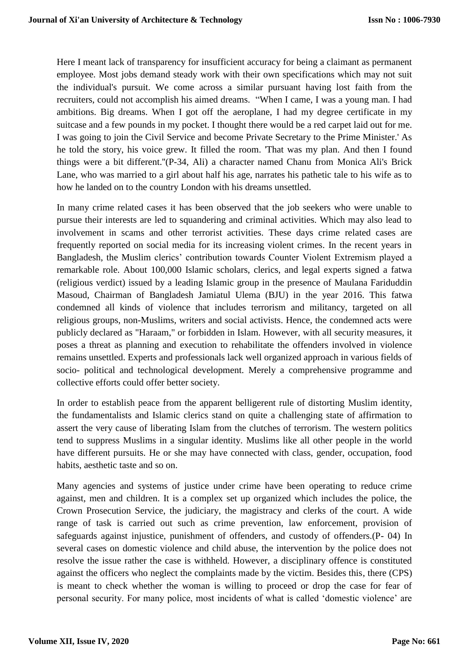Here I meant lack of transparency for insufficient accuracy for being a claimant as permanent employee. Most jobs demand steady work with their own specifications which may not suit the individual's pursuit. We come across a similar pursuant having lost faith from the recruiters, could not accomplish his aimed dreams. "When I came, I was a young man. I had ambitions. Big dreams. When I got off the aeroplane, I had my degree certificate in my suitcase and a few pounds in my pocket. I thought there would be a red carpet laid out for me. I was going to join the Civil Service and become Private Secretary to the Prime Minister.' As he told the story, his voice grew. It filled the room. 'That was my plan. And then I found things were a bit different.''(P-34, Ali) a character named Chanu from Monica Ali's Brick Lane, who was married to a girl about half his age, narrates his pathetic tale to his wife as to how he landed on to the country London with his dreams unsettled.

In many crime related cases it has been observed that the job seekers who were unable to pursue their interests are led to squandering and criminal activities. Which may also lead to involvement in scams and other terrorist activities. These days crime related cases are frequently reported on social media for its increasing violent crimes. In the recent years in Bangladesh, the Muslim clerics' contribution towards Counter Violent Extremism played a remarkable role. About 100,000 Islamic scholars, clerics, and legal experts signed a fatwa (religious verdict) issued by a leading Islamic group in the presence of Maulana Fariduddin Masoud, Chairman of Bangladesh Jamiatul Ulema (BJU) in the year 2016. This fatwa condemned all kinds of violence that includes terrorism and militancy, targeted on all religious groups, non-Muslims, writers and social activists. Hence, the condemned acts were publicly declared as "Haraam," or forbidden in Islam. However, with all security measures, it poses a threat as planning and execution to rehabilitate the offenders involved in violence remains unsettled. Experts and professionals lack well organized approach in various fields of socio- political and technological development. Merely a comprehensive programme and collective efforts could offer better society.

In order to establish peace from the apparent belligerent rule of distorting Muslim identity, the fundamentalists and Islamic clerics stand on quite a challenging state of affirmation to assert the very cause of liberating Islam from the clutches of terrorism. The western politics tend to suppress Muslims in a singular identity. Muslims like all other people in the world have different pursuits. He or she may have connected with class, gender, occupation, food habits, aesthetic taste and so on.

Many agencies and systems of justice under crime have been operating to reduce crime against, men and children. It is a complex set up organized which includes the police, the Crown Prosecution Service, the judiciary, the magistracy and clerks of the court. A wide range of task is carried out such as crime prevention, law enforcement, provision of safeguards against injustice, punishment of offenders, and custody of offenders.(P- 04) In several cases on domestic violence and child abuse, the intervention by the police does not resolve the issue rather the case is withheld. However, a disciplinary offence is constituted against the officers who neglect the complaints made by the victim. Besides this, there (CPS) is meant to check whether the woman is willing to proceed or drop the case for fear of personal security. For many police, most incidents of what is called 'domestic violence' are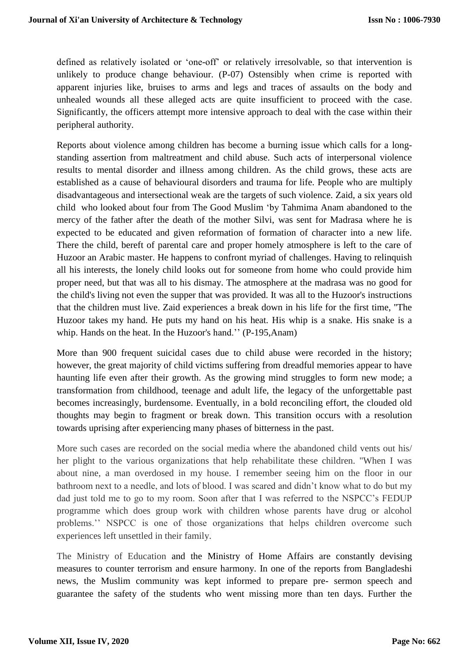defined as relatively isolated or 'one-off' or relatively irresolvable, so that intervention is unlikely to produce change behaviour. (P-07) Ostensibly when crime is reported with apparent injuries like, bruises to arms and legs and traces of assaults on the body and unhealed wounds all these alleged acts are quite insufficient to proceed with the case. Significantly, the officers attempt more intensive approach to deal with the case within their peripheral authority.

Reports about violence among children has become a burning issue which calls for a longstanding assertion from maltreatment and child abuse. Such acts of interpersonal violence results to mental disorder and illness among children. As the child grows, these acts are established as a cause of behavioural disorders and trauma for life. People who are multiply disadvantageous and intersectional weak are the targets of such violence. Zaid, a six years old child who looked about four from The Good Muslim 'by Tahmima Anam abandoned to the mercy of the father after the death of the mother Silvi, was sent for Madrasa where he is expected to be educated and given reformation of formation of character into a new life. There the child, bereft of parental care and proper homely atmosphere is left to the care of Huzoor an Arabic master. He happens to confront myriad of challenges. Having to relinquish all his interests, the lonely child looks out for someone from home who could provide him proper need, but that was all to his dismay. The atmosphere at the madrasa was no good for the child's living not even the supper that was provided. It was all to the Huzoor's instructions that the children must live. Zaid experiences a break down in his life for the first time, ''The Huzoor takes my hand. He puts my hand on his heat. His whip is a snake. His snake is a whip. Hands on the heat. In the Huzoor's hand.'' (P-195,Anam)

More than 900 frequent suicidal cases due to child abuse were recorded in the history; however, the great majority of child victims suffering from dreadful memories appear to have haunting life even after their growth. As the growing mind struggles to form new mode; a transformation from childhood, teenage and adult life, the legacy of the unforgettable past becomes increasingly, burdensome. Eventually, in a bold reconciling effort, the clouded old thoughts may begin to fragment or break down. This transition occurs with a resolution towards uprising after experiencing many phases of bitterness in the past.

More such cases are recorded on the social media where the abandoned child vents out his/ her plight to the various organizations that help rehabilitate these children. "When I was about nine, a man overdosed in my house. I remember seeing him on the floor in our bathroom next to a needle, and lots of blood. I was scared and didn't know what to do but my dad just told me to go to my room. Soon after that I was referred to the NSPCC's FEDUP programme which does group work with children whose parents have drug or alcohol problems.'' NSPCC is one of those organizations that helps children overcome such experiences left unsettled in their family.

The Ministry of Education and the Ministry of Home Affairs are constantly devising measures to counter terrorism and ensure harmony. In one of the reports from Bangladeshi news, the Muslim community was kept informed to prepare pre- sermon speech and guarantee the safety of the students who went missing more than ten days. Further the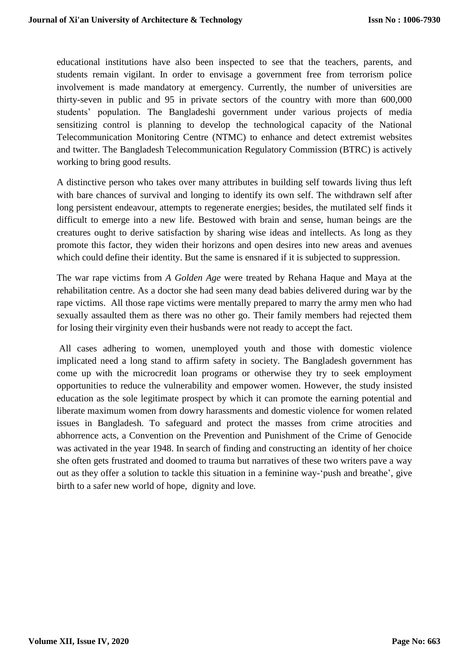educational institutions have also been inspected to see that the teachers, parents, and students remain vigilant. In order to envisage a government free from terrorism police involvement is made mandatory at emergency. Currently, the number of universities are thirty-seven in public and 95 in private sectors of the country with more than 600,000 students' population. The Bangladeshi government under various projects of media sensitizing control is planning to develop the technological capacity of the National Telecommunication Monitoring Centre (NTMC) to enhance and detect extremist websites and twitter. The Bangladesh Telecommunication Regulatory Commission (BTRC) is actively working to bring good results.

A distinctive person who takes over many attributes in building self towards living thus left with bare chances of survival and longing to identify its own self. The withdrawn self after long persistent endeavour, attempts to regenerate energies; besides, the mutilated self finds it difficult to emerge into a new life. Bestowed with brain and sense, human beings are the creatures ought to derive satisfaction by sharing wise ideas and intellects. As long as they promote this factor, they widen their horizons and open desires into new areas and avenues which could define their identity. But the same is ensnared if it is subjected to suppression.

The war rape victims from *A Golden Age* were treated by Rehana Haque and Maya at the rehabilitation centre. As a doctor she had seen many dead babies delivered during war by the rape victims. All those rape victims were mentally prepared to marry the army men who had sexually assaulted them as there was no other go. Their family members had rejected them for losing their virginity even their husbands were not ready to accept the fact.

All cases adhering to women, unemployed youth and those with domestic violence implicated need a long stand to affirm safety in society. The Bangladesh government has come up with the microcredit loan programs or otherwise they try to seek employment opportunities to reduce the vulnerability and empower women. However, the study insisted education as the sole legitimate prospect by which it can promote the earning potential and liberate maximum women from dowry harassments and domestic violence for women related issues in Bangladesh. To safeguard and protect the masses from crime atrocities and abhorrence acts, a Convention on the Prevention and Punishment of the Crime of Genocide was activated in the year 1948. In search of finding and constructing an identity of her choice she often gets frustrated and doomed to trauma but narratives of these two writers pave a way out as they offer a solution to tackle this situation in a feminine way-'push and breathe', give birth to a safer new world of hope, dignity and love.